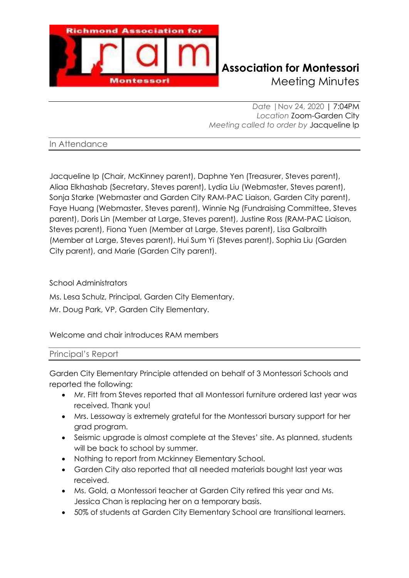

# **Richmond Association for Montessori** Meeting Minutes

*Date |*Nov 24, 2020 | 7:04PM *Location* Zoom-Garden City *Meeting called to order by* Jacqueline Ip

In Attendance

Jacqueline Ip (Chair, McKinney parent), Daphne Yen (Treasurer, Steves parent), Aliaa Elkhashab (Secretary, Steves parent), Lydia Liu (Webmaster, Steves parent), Sonja Starke (Webmaster and Garden City RAM-PAC Liaison, Garden City parent), Faye Huang (Webmaster, Steves parent), Winnie Ng (Fundraising Committee, Steves parent), Doris Lin (Member at Large, Steves parent), Justine Ross (RAM-PAC Liaison, Steves parent), Fiona Yuen (Member at Large, Steves parent), Lisa Galbraith (Member at Large, Steves parent), Hui Sum Yi (Steves parent), Sophia Liu (Garden City parent), and Marie (Garden City parent).

School Administrators

Ms. Lesa Schulz, Principal, Garden City Elementary.

Mr. Doug Park, VP, Garden City Elementary.

Welcome and chair introduces RAM members

## Principal's Report

Garden City Elementary Principle attended on behalf of 3 Montessori Schools and reported the following:

- Mr. Fitt from Steves reported that all Montessori furniture ordered last year was received. Thank you!
- Mrs. Lessoway is extremely grateful for the Montessori bursary support for her grad program.
- Seismic upgrade is almost complete at the Steves' site. As planned, students will be back to school by summer.
- Nothing to report from Mckinney Elementary School.
- Garden City also reported that all needed materials bought last year was received.
- Ms. Gold, a Montessori teacher at Garden City retired this year and Ms. Jessica Chan is replacing her on a temporary basis.
- 50% of students at Garden City Elementary School are transitional learners.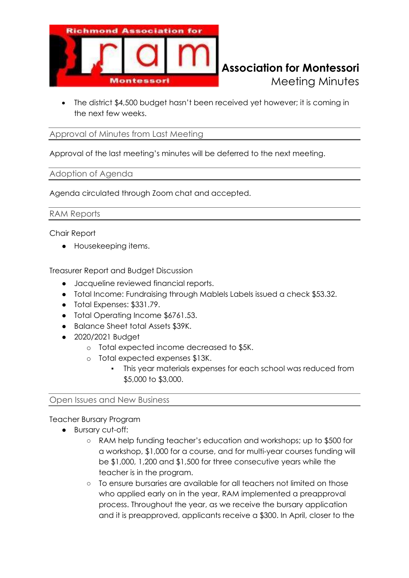

• The district \$4,500 budget hasn't been received yet however; it is coming in the next few weeks.

#### Approval of Minutes from Last Meeting

Approval of the last meeting's minutes will be deferred to the next meeting.

#### Adoption of Agenda

Agenda circulated through Zoom chat and accepted.

RAM Reports

Chair Report

● Housekeeping items.

Treasurer Report and Budget Discussion

- Jacqueline reviewed financial reports.
- Total Income: Fundraising through Mablels Labels issued a check \$53.32.
- Total Expenses: \$331.79.
- Total Operating Income \$6761.53.
- Balance Sheet total Assets \$39K.
- 2020/2021 Budget
	- o Total expected income decreased to \$5K.
	- o Total expected expenses \$13K.
		- This year materials expenses for each school was reduced from \$5,000 to \$3,000.

#### Open Issues and New Business

#### Teacher Bursary Program

- Bursary cut-off:
	- RAM help funding teacher's education and workshops; up to \$500 for a workshop, \$1,000 for a course, and for multi-year courses funding will be \$1,000, 1,200 and \$1,500 for three consecutive years while the teacher is in the program.
	- To ensure bursaries are available for all teachers not limited on those who applied early on in the year, RAM implemented a preapproval process. Throughout the year, as we receive the bursary application and it is preapproved, applicants receive a \$300. In April, closer to the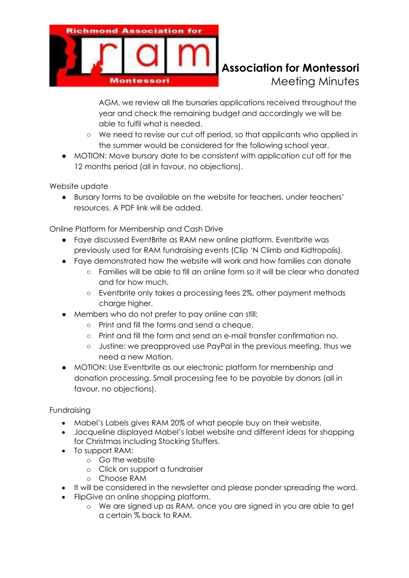

# **Richmond Association for Montessori** Meeting Minutes

AGM, we review all the bursaries applications received throughout the year and check the remaining budget and accordingly we will be able to fulfil what is needed.

- We need to revise our cut off period, so that applicants who applied in the summer would be considered for the following school year.
- MOTION: Move bursary date to be consistent with application cut off for the 12 months period (all in favour, no objections).

Website update

● Bursary forms to be available on the website for teachers, under teachers' resources. A PDF link will be added.

Online Platform for Membership and Cash Drive

- Faye discussed EventBrite as RAM new online platform. Eventbrite was previously used for RAM fundraising events (Clip 'N Climb and Kidtropolis).
- Faye demonstrated how the website will work and how families can donate
	- Families will be able to fill an online form so it will be clear who donated and for how much.
	- Eventbrite only takes a processing fees 2%, other payment methods charge higher.
- Members who do not prefer to pay online can still:
	- Print and fill the forms and send a cheque.
	- Print and fill the form and send an e-mail transfer confirmation no.
	- Justine: we preapproved use PayPal in the previous meeting, thus we need a new Motion.
- MOTION: Use Eventbrite as our electronic platform for membership and donation processing. Small processing fee to be payable by donors (all in favour, no objections).

## Fundraising

- Mabel's Labels gives RAM 20% of what people buy on their website.
- Jacqueline displayed Mabel's label website and different ideas for shopping for Christmas including Stocking Stuffers.
- To support RAM:
	- o Go the website
	- o Click on support a fundraiser
	- o Choose RAM
- It will be considered in the newsletter and please ponder spreading the word.
- FlipGive an online shopping platform.
	- o We are signed up as RAM, once you are signed in you are able to get a certain % back to RAM.